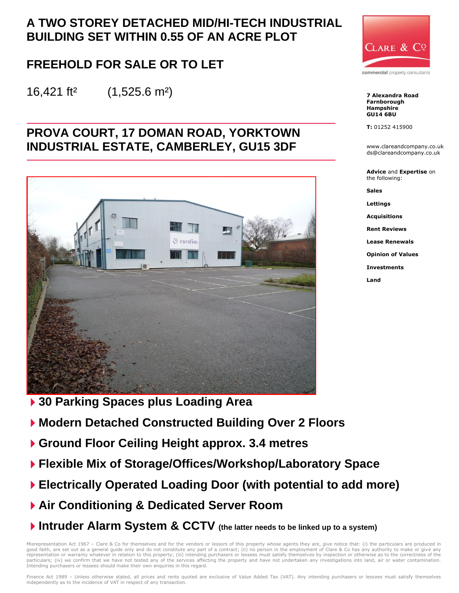# **A TWO STOREY DETACHED MID/HI-TECH INDUSTRIAL BUILDING SET WITHIN 0.55 OF AN ACRE PLOT**

# **FREEHOLD FOR SALE OR TO LET**

16,421 ft² (1,525.6 m²)

## **PROVA COURT, 17 DOMAN ROAD, YORKTOWN INDUSTRIAL ESTATE, CAMBERLEY, GU15 3DF**



**30 Parking Spaces plus Loading Area** 

- **Modern Detached Constructed Building Over 2 Floors**
- **Ground Floor Ceiling Height approx. 3.4 metres**
- **Flexible Mix of Storage/Offices/Workshop/Laboratory Space**
- **Electrically Operated Loading Door (with potential to add more)**
- **Air Conditioning & Dedicated Server Room**
- **Intruder Alarm System & CCTV (the latter needs to be linked up to a system)**

Misrepresentation Act 1967 – Clare & Co for themselves and for the vendors or lessors of this property whose agents they are, give notice that: (i) the particulars are produced in<br>good faith, are set out as a general guide representation or warranty whatever in relation to this property; (iii) intending purchasers or lessees must satisfy themselves by inspection or otherwise as to the correctness of the particulars; (iv) we confirm that we have not tested any of the services affecting the property and have not undertaken any investigations into land, air or water contamination. Intending purchasers or lessees should make their own enquiries in this regard.



commercial property consultants

**7 Alexandra Road Farnborough Hampshire GU14 6BU**

**T:** 01252 415900

www.clareandcompany.co.uk ds@clareandcompany.co.uk

**Advice** and **Expertise** on the following:

**Sales**

**Lettings**

**Acquisitions**

**Rent Reviews**

**Lease Renewals**

**Opinion of Values**

**Investments**

**Land**

Finance Act 1989 - Unless otherwise stated, all prices and rents quoted are exclusive of Value Added Tax (VAT). Any intending purchasers or lessees must satisfy themselves independently as to the incidence of VAT in respect of any transaction.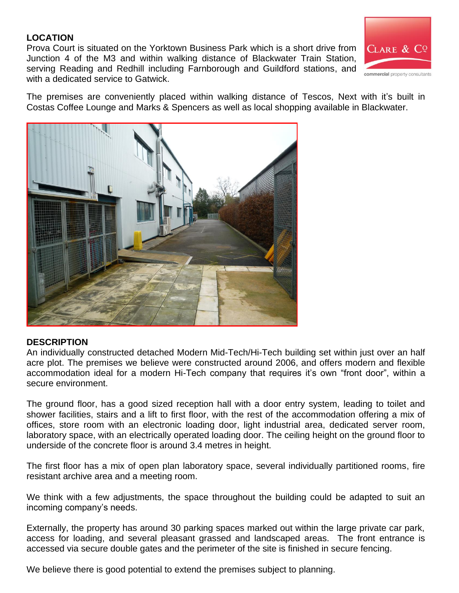#### **LOCATION**

Prova Court is situated on the Yorktown Business Park which is a short drive from Junction 4 of the M3 and within walking distance of Blackwater Train Station, serving Reading and Redhill including Farnborough and Guildford stations, and with a dedicated service to Gatwick.



The premises are conveniently placed within walking distance of Tescos, Next with it's built in Costas Coffee Lounge and Marks & Spencers as well as local shopping available in Blackwater.



#### **DESCRIPTION**

An individually constructed detached Modern Mid-Tech/Hi-Tech building set within just over an half acre plot. The premises we believe were constructed around 2006, and offers modern and flexible accommodation ideal for a modern Hi-Tech company that requires it's own "front door", within a secure environment.

The ground floor, has a good sized reception hall with a door entry system, leading to toilet and shower facilities, stairs and a lift to first floor, with the rest of the accommodation offering a mix of offices, store room with an electronic loading door, light industrial area, dedicated server room, laboratory space, with an electrically operated loading door. The ceiling height on the ground floor to underside of the concrete floor is around 3.4 metres in height.

The first floor has a mix of open plan laboratory space, several individually partitioned rooms, fire resistant archive area and a meeting room.

We think with a few adjustments, the space throughout the building could be adapted to suit an incoming company's needs.

Externally, the property has around 30 parking spaces marked out within the large private car park, access for loading, and several pleasant grassed and landscaped areas. The front entrance is accessed via secure double gates and the perimeter of the site is finished in secure fencing.

We believe there is good potential to extend the premises subject to planning.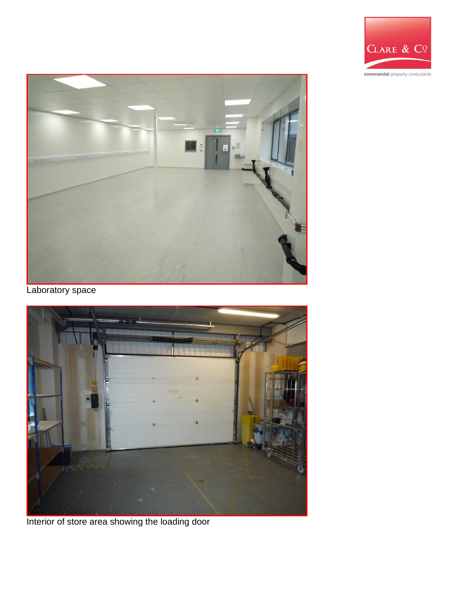



Laboratory space



Interior of store area showing the loading door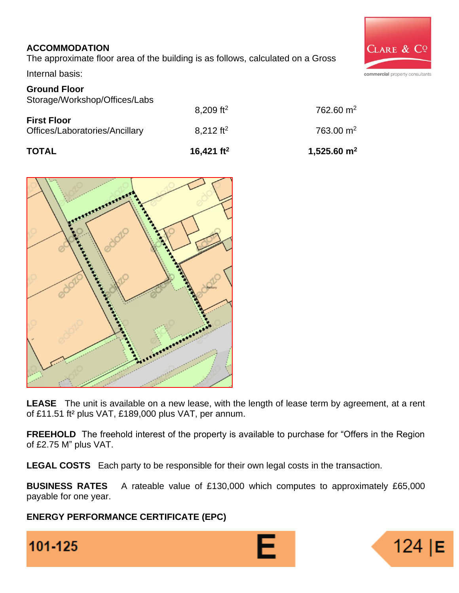## **ACCOMMODATION**

The approximate floor area of the building is as follows, calculated on a Gross

Internal basis:

### **Ground Floor**

| <b>TOTAL</b>                                         | 16,421 $ft^2$           | 1,525.60 $m2$    |  |
|------------------------------------------------------|-------------------------|------------------|--|
| <b>First Floor</b><br>Offices/Laboratories/Ancillary | $8.212$ ft <sup>2</sup> | 763.00 $\rm m^2$ |  |
|                                                      | 8,209 ft <sup>2</sup>   | 762.60 $m2$      |  |
| Storage/Workshop/Offices/Labs                        |                         |                  |  |



**LEASE** The unit is available on a new lease, with the length of lease term by agreement, at a rent of £11.51 ft² plus VAT, £189,000 plus VAT, per annum.

**FREEHOLD** The freehold interest of the property is available to purchase for "Offers in the Region of £2.75 M" plus VAT.

**LEGAL COSTS** Each party to be responsible for their own legal costs in the transaction.

**BUSINESS RATES** A rateable value of £130,000 which computes to approximately £65,000 payable for one year.

**ENERGY PERFORMANCE CERTIFICATE (EPC)** 





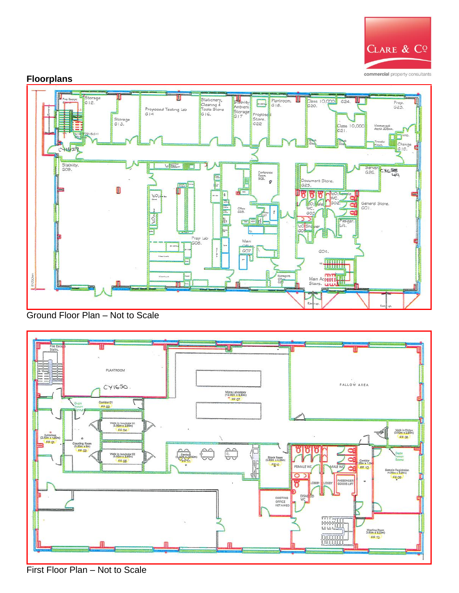

#### **Floorplans**



Ground Floor Plan – Not to Scale



First Floor Plan – Not to Scale